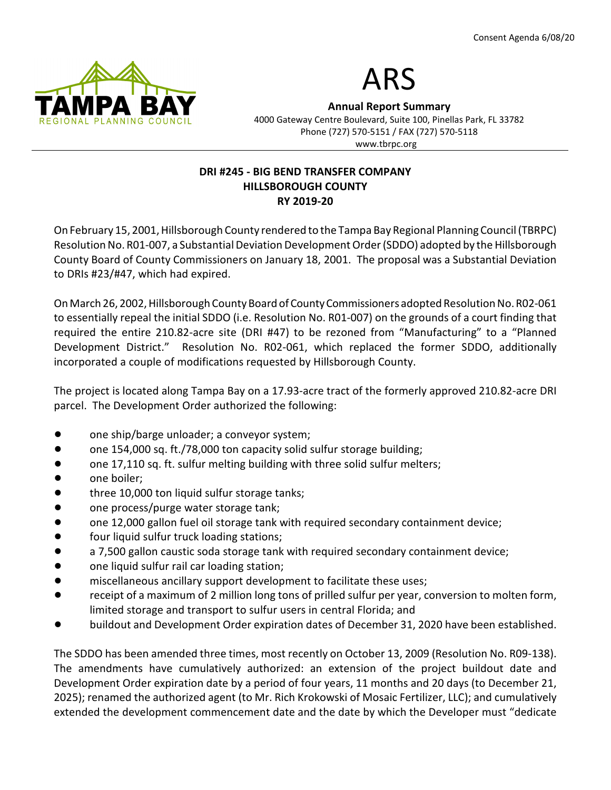



Annual Report Summary 4000 Gateway Centre Boulevard, Suite 100, Pinellas Park, FL 33782 Phone (727) 570-5151 / FAX (727) 570-5118 www.tbrpc.org

### DRI #245 - BIG BEND TRANSFER COMPANY HILLSBOROUGH COUNTY RY 2019-20

On February 15, 2001, Hillsborough County rendered to the Tampa Bay Regional Planning Council (TBRPC) Resolution No. R01-007, a Substantial Deviation Development Order (SDDO) adopted by the Hillsborough County Board of County Commissioners on January 18, 2001. The proposal was a Substantial Deviation to DRIs #23/#47, which had expired.

On March 26, 2002, Hillsborough County Board of County Commissioners adopted Resolution No. R02-061 to essentially repeal the initial SDDO (i.e. Resolution No. R01-007) on the grounds of a court finding that required the entire 210.82-acre site (DRI #47) to be rezoned from "Manufacturing" to a "Planned Development District." Resolution No. R02-061, which replaced the former SDDO, additionally incorporated a couple of modifications requested by Hillsborough County.

The project is located along Tampa Bay on a 17.93-acre tract of the formerly approved 210.82-acre DRI parcel. The Development Order authorized the following:

- one ship/barge unloader; a conveyor system;
- one 154,000 sq. ft./78,000 ton capacity solid sulfur storage building;
- one 17,110 sq. ft. sulfur melting building with three solid sulfur melters;
- one boiler:
- three 10,000 ton liquid sulfur storage tanks;
- one process/purge water storage tank;
- one 12,000 gallon fuel oil storage tank with required secondary containment device;
- four liquid sulfur truck loading stations;
- a 7,500 gallon caustic soda storage tank with required secondary containment device;
- one liquid sulfur rail car loading station;
- **Indigate 1** miscellaneous ancillary support development to facilitate these uses;
- receipt of a maximum of 2 million long tons of prilled sulfur per year, conversion to molten form, limited storage and transport to sulfur users in central Florida; and
- buildout and Development Order expiration dates of December 31, 2020 have been established.

The SDDO has been amended three times, most recently on October 13, 2009 (Resolution No. R09-138). The amendments have cumulatively authorized: an extension of the project buildout date and Development Order expiration date by a period of four years, 11 months and 20 days (to December 21, 2025); renamed the authorized agent (to Mr. Rich Krokowski of Mosaic Fertilizer, LLC); and cumulatively extended the development commencement date and the date by which the Developer must "dedicate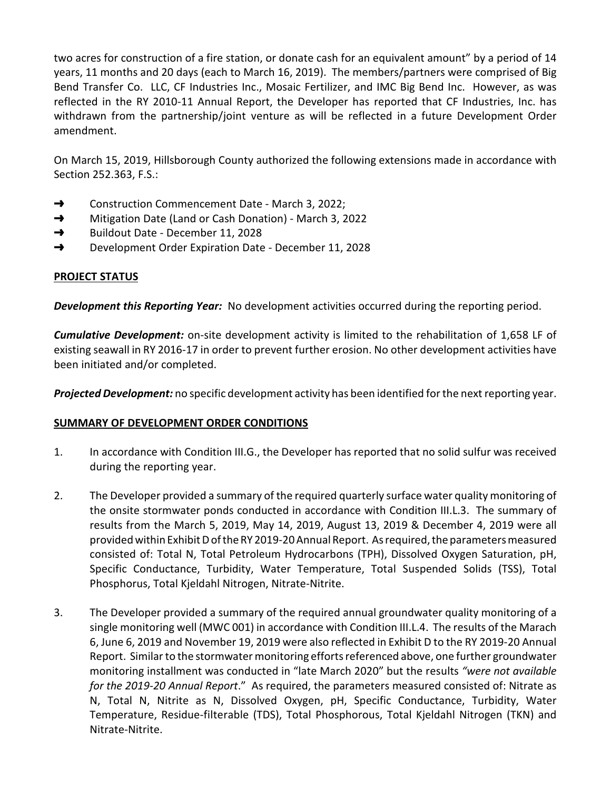two acres for construction of a fire station, or donate cash for an equivalent amount" by a period of 14 years, 11 months and 20 days (each to March 16, 2019). The members/partners were comprised of Big Bend Transfer Co. LLC, CF Industries Inc., Mosaic Fertilizer, and IMC Big Bend Inc. However, as was reflected in the RY 2010-11 Annual Report, the Developer has reported that CF Industries, Inc. has withdrawn from the partnership/joint venture as will be reflected in a future Development Order amendment.

On March 15, 2019, Hillsborough County authorized the following extensions made in accordance with Section 252.363, F.S.:

- → Construction Commencement Date March 3, 2022;
- → Mitigation Date (Land or Cash Donation) March 3, 2022
- → Buildout Date December 11, 2028
- → Development Order Expiration Date December 11, 2028

# PROJECT STATUS

**Development this Reporting Year:** No development activities occurred during the reporting period.

**Cumulative Development:** on-site development activity is limited to the rehabilitation of 1,658 LF of existing seawall in RY 2016-17 in order to prevent further erosion. No other development activities have been initiated and/or completed.

**Projected Development:** no specific development activity has been identified for the next reporting year.

## SUMMARY OF DEVELOPMENT ORDER CONDITIONS

- 1. In accordance with Condition III.G., the Developer has reported that no solid sulfur was received during the reporting year.
- 2. The Developer provided a summary of the required quarterly surface water quality monitoring of the onsite stormwater ponds conducted in accordance with Condition III.L.3. The summary of results from the March 5, 2019, May 14, 2019, August 13, 2019 & December 4, 2019 were all provided within Exhibit D of the RY 2019-20 Annual Report. As required, the parameters measured consisted of: Total N, Total Petroleum Hydrocarbons (TPH), Dissolved Oxygen Saturation, pH, Specific Conductance, Turbidity, Water Temperature, Total Suspended Solids (TSS), Total Phosphorus, Total Kjeldahl Nitrogen, Nitrate-Nitrite.
- 3. The Developer provided a summary of the required annual groundwater quality monitoring of a single monitoring well (MWC 001) in accordance with Condition III.L.4. The results of the Marach 6, June 6, 2019 and November 19, 2019 were also reflected in Exhibit D to the RY 2019-20 Annual Report. Similar to the stormwater monitoring efforts referenced above, one further groundwater monitoring installment was conducted in "late March 2020" but the results "were not available for the 2019-20 Annual Report." As required, the parameters measured consisted of: Nitrate as N, Total N, Nitrite as N, Dissolved Oxygen, pH, Specific Conductance, Turbidity, Water Temperature, Residue-filterable (TDS), Total Phosphorous, Total Kjeldahl Nitrogen (TKN) and Nitrate-Nitrite.